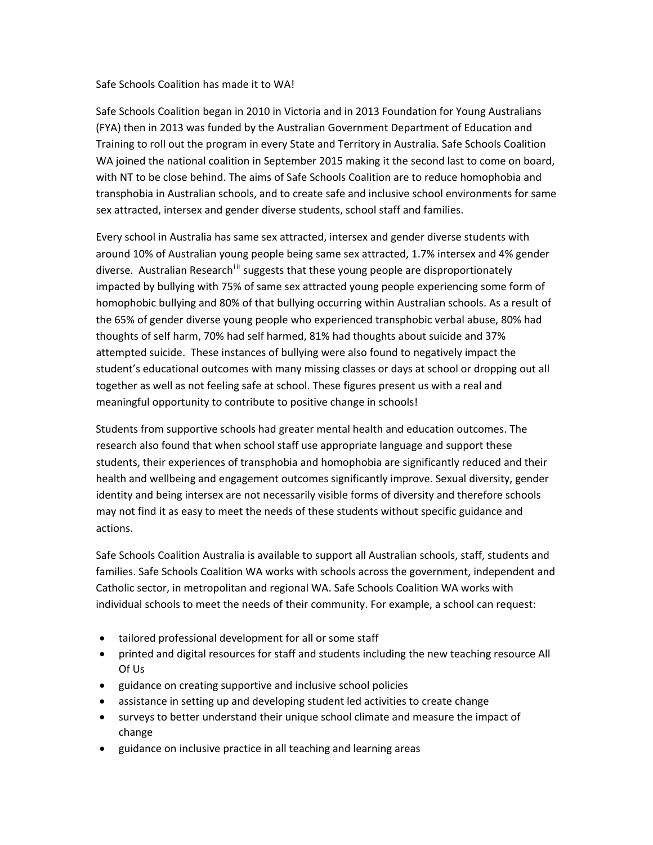## Safe Schools Coalition has made it to WA!

Safe Schools Coalition began in 2010 in Victoria and in 2013 Foundation for Young Australians (FYA) then in 2013 was funded by the Australian Government Department of Education and Training to roll out the program in every State and Territory in Australia. Safe Schools Coalition WA joined the national coalition in September 2015 making it the second last to come on board, with NT to be close behind. The aims of Safe Schools Coalition are to reduce homophobia and transphobia in Australian schools, and to create safe and inclusive school environments for same sex attracted, intersex and gender diverse students, school staff and families.

Every school in Australia has same sex attracted, intersex and gender diverse students with around 10% of Australian young people being same sex attracted, 1.7% intersex and 4% gender d[i](#page-1-0)verse. Australian Research<sup>[ii](#page-1-1)i</sup> suggests that these young people are disproportionately impacted by bullying with 75% of same sex attracted young people experiencing some form of homophobic bullying and 80% of that bullying occurring within Australian schools. As a result of the 65% of gender diverse young people who experienced transphobic verbal abuse, 80% had thoughts of self harm, 70% had self harmed, 81% had thoughts about suicide and 37% attempted suicide. These instances of bullying were also found to negatively impact the student's educational outcomes with many missing classes or days at school or dropping out all together as well as not feeling safe at school. These figures present us with a real and meaningful opportunity to contribute to positive change in schools!

Students from supportive schools had greater mental health and education outcomes. The research also found that when school staff use appropriate language and support these students, their experiences of transphobia and homophobia are significantly reduced and their health and wellbeing and engagement outcomes significantly improve. Sexual diversity, gender identity and being intersex are not necessarily visible forms of diversity and therefore schools may not find it as easy to meet the needs of these students without specific guidance and actions.

Safe Schools Coalition Australia is available to support all Australian schools, staff, students and families. Safe Schools Coalition WA works with schools across the government, independent and Catholic sector, in metropolitan and regional WA. Safe Schools Coalition WA works with individual schools to meet the needs of their community. For example, a school can request:

- tailored professional development for all or some staff
- printed and digital resources for staff and students including the new teaching resource All Of Us
- guidance on creating supportive and inclusive school policies
- assistance in setting up and developing student led activities to create change
- surveys to better understand their unique school climate and measure the impact of change
- guidance on inclusive practice in all teaching and learning areas